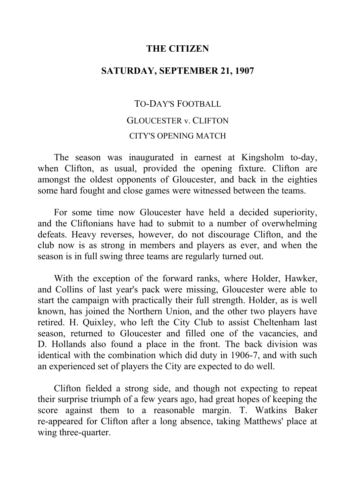#### **THE CITIZEN**

## **SATURDAY, SEPTEMBER 21, 1907**

# TO-DAY'S FOOTBALL GLOUCESTER v. CLIFTON CITY'S OPENING MATCH

The season was inaugurated in earnest at Kingsholm to-day, when Clifton, as usual, provided the opening fixture. Clifton are amongst the oldest opponents of Gloucester, and back in the eighties some hard fought and close games were witnessed between the teams.

For some time now Gloucester have held a decided superiority, and the Cliftonians have had to submit to a number of overwhelming defeats. Heavy reverses, however, do not discourage Clifton, and the club now is as strong in members and players as ever, and when the season is in full swing three teams are regularly turned out.

With the exception of the forward ranks, where Holder, Hawker, and Collins of last year's pack were missing, Gloucester were able to start the campaign with practically their full strength. Holder, as is well known, has joined the Northern Union, and the other two players have retired. H. Quixley, who left the City Club to assist Cheltenham last season, returned to Gloucester and filled one of the vacancies, and D. Hollands also found a place in the front. The back division was identical with the combination which did duty in 1906-7, and with such an experienced set of players the City are expected to do well.

Clifton fielded a strong side, and though not expecting to repeat their surprise triumph of a few years ago, had great hopes of keeping the score against them to a reasonable margin. T. Watkins Baker re-appeared for Clifton after a long absence, taking Matthews' place at wing three-quarter.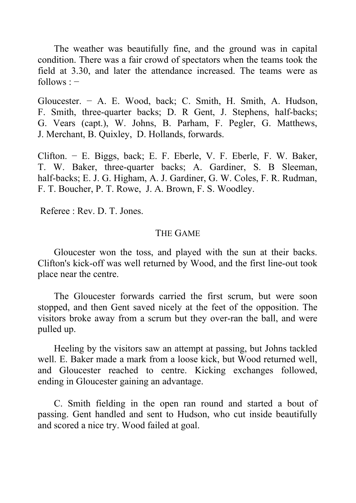The weather was beautifully fine, and the ground was in capital condition. There was a fair crowd of spectators when the teams took the field at 3.30, and later the attendance increased. The teams were as  $follows: –$ 

Gloucester. − A. E. Wood, back; C. Smith, H. Smith, A. Hudson, F. Smith, three-quarter backs; D. R Gent, J. Stephens, half-backs; G. Vears (capt.), W. Johns, B. Parham, F. Pegler, G. Matthews, J. Merchant, B. Quixley, D. Hollands, forwards.

Clifton. − E. Biggs, back; E. F. Eberle, V. F. Eberle, F. W. Baker, T. W. Baker, three-quarter backs; A. Gardiner, S. B Sleeman, half-backs; E. J. G. Higham, A. J. Gardiner, G. W. Coles, F. R. Rudman, F. T. Boucher, P. T. Rowe, J. A. Brown, F. S. Woodley.

Referee : Rev. D. T. Jones.

#### THE GAME

Gloucester won the toss, and played with the sun at their backs. Clifton's kick-off was well returned by Wood, and the first line-out took place near the centre.

The Gloucester forwards carried the first scrum, but were soon stopped, and then Gent saved nicely at the feet of the opposition. The visitors broke away from a scrum but they over-ran the ball, and were pulled up.

Heeling by the visitors saw an attempt at passing, but Johns tackled well. E. Baker made a mark from a loose kick, but Wood returned well, and Gloucester reached to centre. Kicking exchanges followed, ending in Gloucester gaining an advantage.

C. Smith fielding in the open ran round and started a bout of passing. Gent handled and sent to Hudson, who cut inside beautifully and scored a nice try. Wood failed at goal.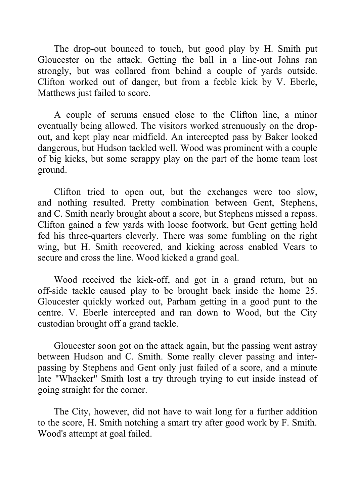The drop-out bounced to touch, but good play by H. Smith put Gloucester on the attack. Getting the ball in a line-out Johns ran strongly, but was collared from behind a couple of yards outside. Clifton worked out of danger, but from a feeble kick by V. Eberle, Matthews just failed to score.

A couple of scrums ensued close to the Clifton line, a minor eventually being allowed. The visitors worked strenuously on the dropout, and kept play near midfield. An intercepted pass by Baker looked dangerous, but Hudson tackled well. Wood was prominent with a couple of big kicks, but some scrappy play on the part of the home team lost ground.

Clifton tried to open out, but the exchanges were too slow, and nothing resulted. Pretty combination between Gent, Stephens, and C. Smith nearly brought about a score, but Stephens missed a repass. Clifton gained a few yards with loose footwork, but Gent getting hold fed his three-quarters cleverly. There was some fumbling on the right wing, but H. Smith recovered, and kicking across enabled Vears to secure and cross the line. Wood kicked a grand goal.

Wood received the kick-off, and got in a grand return, but an off-side tackle caused play to be brought back inside the home 25. Gloucester quickly worked out, Parham getting in a good punt to the centre. V. Eberle intercepted and ran down to Wood, but the City custodian brought off a grand tackle.

Gloucester soon got on the attack again, but the passing went astray between Hudson and C. Smith. Some really clever passing and interpassing by Stephens and Gent only just failed of a score, and a minute late "Whacker" Smith lost a try through trying to cut inside instead of going straight for the corner.

The City, however, did not have to wait long for a further addition to the score, H. Smith notching a smart try after good work by F. Smith. Wood's attempt at goal failed.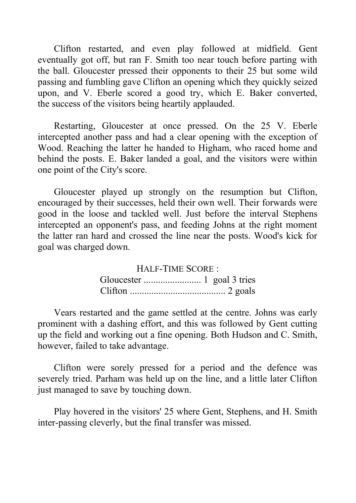Clifton restarted, and even play followed at midfield. Gent eventually got off, but ran F. Smith too near touch before parting with the ball. Gloucester pressed their opponents to their 25 but some wild passing and fumbling gave Clifton an opening which they quickly seized upon, and V. Eberle scored a good try, which E. Baker converted, the success of the visitors being heartily applauded.

Restarting, Gloucester at once pressed. On the 25 V. Eberle intercepted another pass and had a clear opening with the exception of Wood. Reaching the latter he handed to Higham, who raced home and behind the posts. E. Baker landed a goal, and the visitors were within one point of the City's score.

Gloucester played up strongly on the resumption but Clifton, encouraged by their successes, held their own well. Their forwards were good in the loose and tackled well. Just before the interval Stephens intercepted an opponent's pass, and feeding Johns at the right moment the latter ran hard and crossed the line near the posts. Wood's kick for goal was charged down.

> HALF-TIME SCORE : Gloucester ........................ 1 goal 3 tries Clifton ........................................ 2 goals

Vears restarted and the game settled at the centre. Johns was early prominent with a dashing effort, and this was followed by Gent cutting up the field and working out a fine opening. Both Hudson and C. Smith, however, failed to take advantage.

Clifton were sorely pressed for a period and the defence was severely tried. Parham was held up on the line, and a little later Clifton just managed to save by touching down.

Play hovered in the visitors' 25 where Gent, Stephens, and H. Smith inter-passing cleverly, but the final transfer was missed.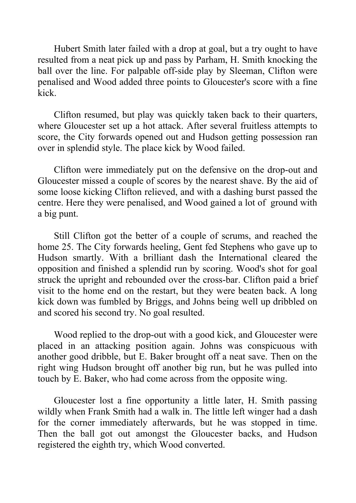Hubert Smith later failed with a drop at goal, but a try ought to have resulted from a neat pick up and pass by Parham, H. Smith knocking the ball over the line. For palpable off-side play by Sleeman, Clifton were penalised and Wood added three points to Gloucester's score with a fine kick.

Clifton resumed, but play was quickly taken back to their quarters, where Gloucester set up a hot attack. After several fruitless attempts to score, the City forwards opened out and Hudson getting possession ran over in splendid style. The place kick by Wood failed.

Clifton were immediately put on the defensive on the drop-out and Gloucester missed a couple of scores by the nearest shave. By the aid of some loose kicking Clifton relieved, and with a dashing burst passed the centre. Here they were penalised, and Wood gained a lot of ground with a big punt.

Still Clifton got the better of a couple of scrums, and reached the home 25. The City forwards heeling, Gent fed Stephens who gave up to Hudson smartly. With a brilliant dash the International cleared the opposition and finished a splendid run by scoring. Wood's shot for goal struck the upright and rebounded over the cross-bar. Clifton paid a brief visit to the home end on the restart, but they were beaten back. A long kick down was fumbled by Briggs, and Johns being well up dribbled on and scored his second try. No goal resulted.

Wood replied to the drop-out with a good kick, and Gloucester were placed in an attacking position again. Johns was conspicuous with another good dribble, but E. Baker brought off a neat save. Then on the right wing Hudson brought off another big run, but he was pulled into touch by E. Baker, who had come across from the opposite wing.

Gloucester lost a fine opportunity a little later, H. Smith passing wildly when Frank Smith had a walk in. The little left winger had a dash for the corner immediately afterwards, but he was stopped in time. Then the ball got out amongst the Gloucester backs, and Hudson registered the eighth try, which Wood converted.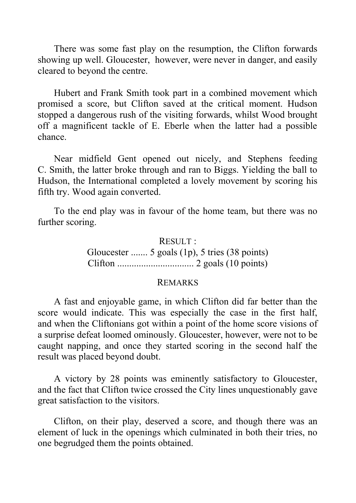There was some fast play on the resumption, the Clifton forwards showing up well. Gloucester, however, were never in danger, and easily cleared to beyond the centre.

Hubert and Frank Smith took part in a combined movement which promised a score, but Clifton saved at the critical moment. Hudson stopped a dangerous rush of the visiting forwards, whilst Wood brought off a magnificent tackle of E. Eberle when the latter had a possible chance.

Near midfield Gent opened out nicely, and Stephens feeding C. Smith, the latter broke through and ran to Biggs. Yielding the ball to Hudson, the International completed a lovely movement by scoring his fifth try. Wood again converted.

To the end play was in favour of the home team, but there was no further scoring.

> RESULT: Gloucester ....... 5 goals (1p), 5 tries (38 points) Clifton ................................ 2 goals (10 points)

#### REMARKS

A fast and enjoyable game, in which Clifton did far better than the score would indicate. This was especially the case in the first half, and when the Cliftonians got within a point of the home score visions of a surprise defeat loomed ominously. Gloucester, however, were not to be caught napping, and once they started scoring in the second half the result was placed beyond doubt.

A victory by 28 points was eminently satisfactory to Gloucester, and the fact that Clifton twice crossed the City lines unquestionably gave great satisfaction to the visitors.

Clifton, on their play, deserved a score, and though there was an element of luck in the openings which culminated in both their tries, no one begrudged them the points obtained.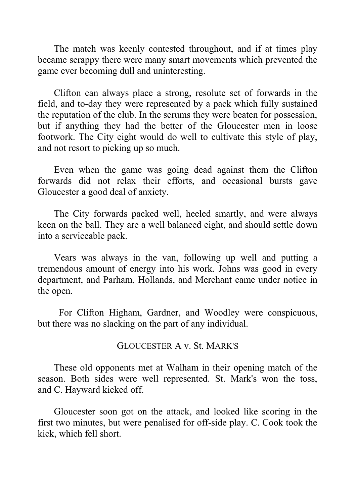The match was keenly contested throughout, and if at times play became scrappy there were many smart movements which prevented the game ever becoming dull and uninteresting.

Clifton can always place a strong, resolute set of forwards in the field, and to-day they were represented by a pack which fully sustained the reputation of the club. In the scrums they were beaten for possession, but if anything they had the better of the Gloucester men in loose footwork. The City eight would do well to cultivate this style of play, and not resort to picking up so much.

Even when the game was going dead against them the Clifton forwards did not relax their efforts, and occasional bursts gave Gloucester a good deal of anxiety.

The City forwards packed well, heeled smartly, and were always keen on the ball. They are a well balanced eight, and should settle down into a serviceable pack.

Vears was always in the van, following up well and putting a tremendous amount of energy into his work. Johns was good in every department, and Parham, Hollands, and Merchant came under notice in the open.

 For Clifton Higham, Gardner, and Woodley were conspicuous, but there was no slacking on the part of any individual.

### GLOUCESTER A v. St. MARK'S

These old opponents met at Walham in their opening match of the season. Both sides were well represented. St. Mark's won the toss, and C. Hayward kicked off.

Gloucester soon got on the attack, and looked like scoring in the first two minutes, but were penalised for off-side play. C. Cook took the kick, which fell short.